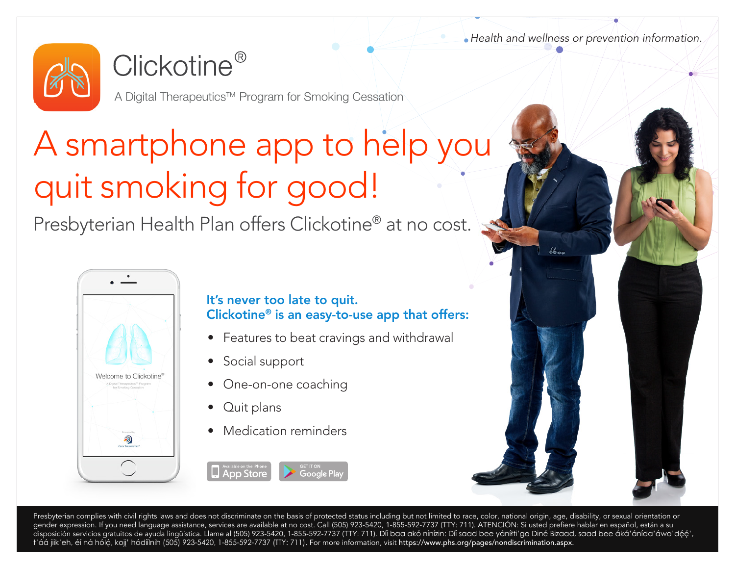*Health and wellness or prevention information.*

6600



### $Clickotine<sup>®</sup>$

A Digital Therapeutics™ Program for Smoking Cessation

# A smartphone app to help you quit smoking for good!

Presbyterian Health Plan offers Clickotine® at no cost.



#### It's never too late to quit. Clickotine® is an easy-to-use app that offers:

- Features to beat cravings and withdrawal
- Social support
- One-on-one coaching
- Quit plans

**App Store** 

• Medication reminders

Presbyterian complies with civil rights laws and does not discriminate on the basis of protected status including but not limited to race, color, national origin, age, disability, or sexual orientation or gender expression. If you need language assistance, services are available at no cost. Call (505) 923-5420, 1-855-592-7737 (TTY: 711). ATENCIÓN: Si usted prefiere hablar en español, están a su disposición servicios gratuitos de ayuda lingüística. Llame al (505) 923-5420, 1-855-592-7737 (TTY: 711). Díí baa akó nínízin: Díí saad bee yáníłti'go Diné Bizaad, saad bee áká'ánída'áwo'déé', t'áá jiik'eh, éí ná hóló, kojj' hódíílnih (505) 923-5420, 1-855-592-7737 (TTY: 711). For more information, visit <https://www.phs.org/pages/nondiscrimination.aspx>.